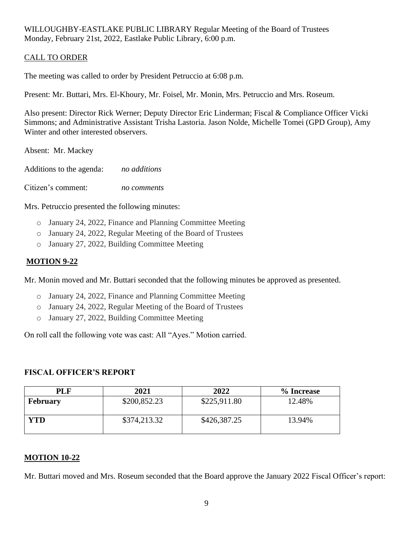#### CALL TO ORDER

The meeting was called to order by President Petruccio at 6:08 p.m.

Present: Mr. Buttari, Mrs. El-Khoury, Mr. Foisel, Mr. Monin, Mrs. Petruccio and Mrs. Roseum.

Also present: Director Rick Werner; Deputy Director Eric Linderman; Fiscal & Compliance Officer Vicki Simmons; and Administrative Assistant Trisha Lastoria. Jason Nolde, Michelle Tomei (GPD Group), Amy Winter and other interested observers.

Absent: Mr. Mackey

Additions to the agenda: *no additions*

Citizen's comment: *no comments*

Mrs. Petruccio presented the following minutes:

- o January 24, 2022, Finance and Planning Committee Meeting
- o January 24, 2022, Regular Meeting of the Board of Trustees
- o January 27, 2022, Building Committee Meeting

#### **MOTION 9-22**

Mr. Monin moved and Mr. Buttari seconded that the following minutes be approved as presented.

- o January 24, 2022, Finance and Planning Committee Meeting
- o January 24, 2022, Regular Meeting of the Board of Trustees
- o January 27, 2022, Building Committee Meeting

On roll call the following vote was cast: All "Ayes." Motion carried.

#### **FISCAL OFFICER'S REPORT**

| <b>PLF</b>      | 2021         | 2022         | % Increase |
|-----------------|--------------|--------------|------------|
| <b>February</b> | \$200,852.23 | \$225,911.80 | 12.48%     |
| YTD             | \$374,213.32 | \$426,387.25 | 13.94%     |

#### **MOTION 10-22**

Mr. Buttari moved and Mrs. Roseum seconded that the Board approve the January 2022 Fiscal Officer's report: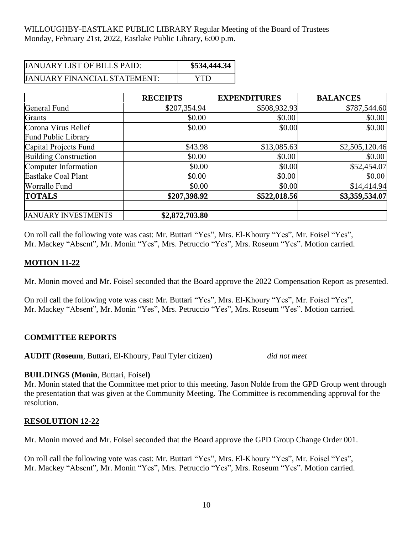| <b>JANUARY LIST OF BILLS PAID:</b>  | \$534,444.34 |
|-------------------------------------|--------------|
| <b>JANUARY FINANCIAL STATEMENT:</b> | YTD          |

|                              | <b>RECEIPTS</b> | <b>EXPENDITURES</b> | <b>BALANCES</b> |
|------------------------------|-----------------|---------------------|-----------------|
| General Fund                 | \$207,354.94    | \$508,932.93        | \$787,544.60    |
| Grants                       | \$0.00          | \$0.00              | \$0.00          |
| Corona Virus Relief          | \$0.00          | \$0.00              | \$0.00          |
| Fund Public Library          |                 |                     |                 |
| Capital Projects Fund        | \$43.98         | \$13,085.63         | \$2,505,120.46  |
| <b>Building Construction</b> | \$0.00          | \$0.00              | \$0.00          |
| Computer Information         | \$0.00          | \$0.00              | \$52,454.07     |
| Eastlake Coal Plant          | \$0.00          | \$0.00              | \$0.00          |
| Worrallo Fund                | \$0.00          | \$0.00              | \$14,414.94     |
| <b>TOTALS</b>                | \$207,398.92    | \$522,018.56        | \$3,359,534.07  |
| <b>JANUARY INVESTMENTS</b>   | \$2,872,703.80  |                     |                 |

On roll call the following vote was cast: Mr. Buttari "Yes", Mrs. El-Khoury "Yes", Mr. Foisel "Yes", Mr. Mackey "Absent", Mr. Monin "Yes", Mrs. Petruccio "Yes", Mrs. Roseum "Yes". Motion carried.

#### **MOTION 11-22**

Mr. Monin moved and Mr. Foisel seconded that the Board approve the 2022 Compensation Report as presented.

On roll call the following vote was cast: Mr. Buttari "Yes", Mrs. El-Khoury "Yes", Mr. Foisel "Yes", Mr. Mackey "Absent", Mr. Monin "Yes", Mrs. Petruccio "Yes", Mrs. Roseum "Yes". Motion carried.

#### **COMMITTEE REPORTS**

**AUDIT (Roseum**, Buttari, El-Khoury, Paul Tyler citizen**)** *did not meet*

#### **BUILDINGS (Monin**, Buttari, Foisel**)**

Mr. Monin stated that the Committee met prior to this meeting. Jason Nolde from the GPD Group went through the presentation that was given at the Community Meeting. The Committee is recommending approval for the resolution.

#### **RESOLUTION 12-22**

Mr. Monin moved and Mr. Foisel seconded that the Board approve the GPD Group Change Order 001.

On roll call the following vote was cast: Mr. Buttari "Yes", Mrs. El-Khoury "Yes", Mr. Foisel "Yes", Mr. Mackey "Absent", Mr. Monin "Yes", Mrs. Petruccio "Yes", Mrs. Roseum "Yes". Motion carried.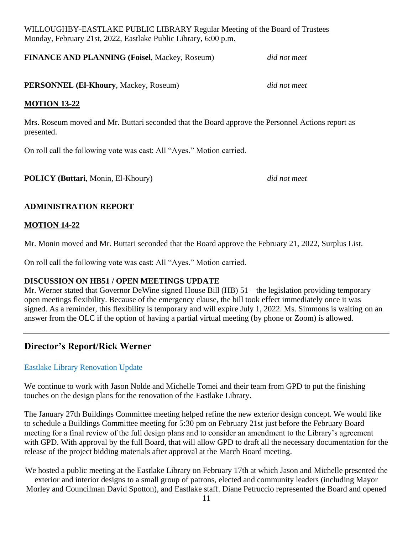**FINANCE AND PLANNING (Foisel**, Mackey, Roseum) *did not meet*

**PERSONNEL (El-Khoury**, Mackey, Roseum) *did not meet*

#### **MOTION 13-22**

Mrs. Roseum moved and Mr. Buttari seconded that the Board approve the Personnel Actions report as presented.

On roll call the following vote was cast: All "Ayes." Motion carried.

**POLICY (Buttari**, Monin, El-Khoury) *did not meet*

## **ADMINISTRATION REPORT**

### **MOTION 14-22**

Mr. Monin moved and Mr. Buttari seconded that the Board approve the February 21, 2022, Surplus List.

On roll call the following vote was cast: All "Ayes." Motion carried.

#### **DISCUSSION ON HB51 / OPEN MEETINGS UPDATE**

Mr. Werner stated that Governor DeWine signed House Bill (HB) 51 – the legislation providing temporary open meetings flexibility. Because of the emergency clause, the bill took effect immediately once it was signed. As a reminder, this flexibility is temporary and will expire July 1, 2022. Ms. Simmons is waiting on an answer from the OLC if the option of having a partial virtual meeting (by phone or Zoom) is allowed.

# **Director's Report/Rick Werner**

## Eastlake Library Renovation Update

We continue to work with Jason Nolde and Michelle Tomei and their team from GPD to put the finishing touches on the design plans for the renovation of the Eastlake Library.

The January 27th Buildings Committee meeting helped refine the new exterior design concept. We would like to schedule a Buildings Committee meeting for 5:30 pm on February 21st just before the February Board meeting for a final review of the full design plans and to consider an amendment to the Library's agreement with GPD. With approval by the full Board, that will allow GPD to draft all the necessary documentation for the release of the project bidding materials after approval at the March Board meeting.

We hosted a public meeting at the Eastlake Library on February 17th at which Jason and Michelle presented the exterior and interior designs to a small group of patrons, elected and community leaders (including Mayor Morley and Councilman David Spotton), and Eastlake staff. Diane Petruccio represented the Board and opened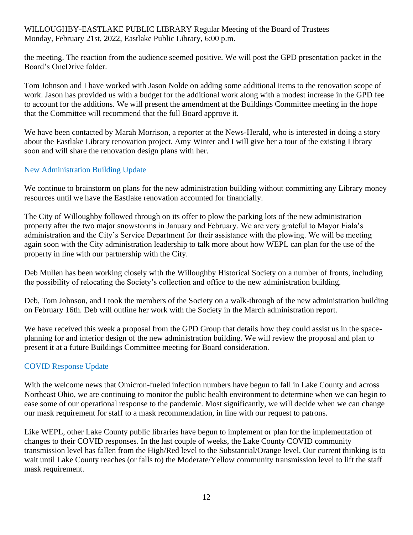the meeting. The reaction from the audience seemed positive. We will post the GPD presentation packet in the Board's OneDrive folder.

Tom Johnson and I have worked with Jason Nolde on adding some additional items to the renovation scope of work. Jason has provided us with a budget for the additional work along with a modest increase in the GPD fee to account for the additions. We will present the amendment at the Buildings Committee meeting in the hope that the Committee will recommend that the full Board approve it.

We have been contacted by Marah Morrison, a reporter at the News-Herald, who is interested in doing a story about the Eastlake Library renovation project. Amy Winter and I will give her a tour of the existing Library soon and will share the renovation design plans with her.

### New Administration Building Update

We continue to brainstorm on plans for the new administration building without committing any Library money resources until we have the Eastlake renovation accounted for financially.

The City of Willoughby followed through on its offer to plow the parking lots of the new administration property after the two major snowstorms in January and February. We are very grateful to Mayor Fiala's administration and the City's Service Department for their assistance with the plowing. We will be meeting again soon with the City administration leadership to talk more about how WEPL can plan for the use of the property in line with our partnership with the City.

Deb Mullen has been working closely with the Willoughby Historical Society on a number of fronts, including the possibility of relocating the Society's collection and office to the new administration building.

Deb, Tom Johnson, and I took the members of the Society on a walk-through of the new administration building on February 16th. Deb will outline her work with the Society in the March administration report.

We have received this week a proposal from the GPD Group that details how they could assist us in the spaceplanning for and interior design of the new administration building. We will review the proposal and plan to present it at a future Buildings Committee meeting for Board consideration.

## COVID Response Update

With the welcome news that Omicron-fueled infection numbers have begun to fall in Lake County and across Northeast Ohio, we are continuing to monitor the public health environment to determine when we can begin to ease some of our operational response to the pandemic. Most significantly, we will decide when we can change our mask requirement for staff to a mask recommendation, in line with our request to patrons.

Like WEPL, other Lake County public libraries have begun to implement or plan for the implementation of changes to their COVID responses. In the last couple of weeks, the Lake County COVID community transmission level has fallen from the High/Red level to the Substantial/Orange level. Our current thinking is to wait until Lake County reaches (or falls to) the Moderate/Yellow community transmission level to lift the staff mask requirement.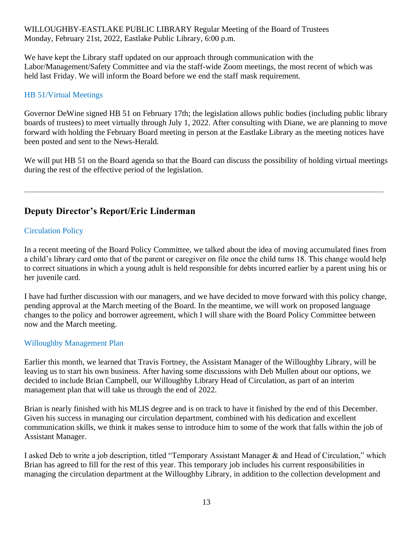We have kept the Library staff updated on our approach through communication with the Labor/Management/Safety Committee and via the staff-wide Zoom meetings, the most recent of which was held last Friday. We will inform the Board before we end the staff mask requirement.

### HB 51/Virtual Meetings

Governor DeWine signed HB 51 on February 17th; the legislation allows public bodies (including public library boards of trustees) to meet virtually through July 1, 2022. After consulting with Diane, we are planning to move forward with holding the February Board meeting in person at the Eastlake Library as the meeting notices have been posted and sent to the News-Herald.

We will put HB 51 on the Board agenda so that the Board can discuss the possibility of holding virtual meetings during the rest of the effective period of the legislation.

# **Deputy Director's Report/Eric Linderman**

### Circulation Policy

In a recent meeting of the Board Policy Committee, we talked about the idea of moving accumulated fines from a child's library card onto that of the parent or caregiver on file once the child turns 18. This change would help to correct situations in which a young adult is held responsible for debts incurred earlier by a parent using his or her juvenile card.

I have had further discussion with our managers, and we have decided to move forward with this policy change, pending approval at the March meeting of the Board. In the meantime, we will work on proposed language changes to the policy and borrower agreement, which I will share with the Board Policy Committee between now and the March meeting.

#### Willoughby Management Plan

Earlier this month, we learned that Travis Fortney, the Assistant Manager of the Willoughby Library, will be leaving us to start his own business. After having some discussions with Deb Mullen about our options, we decided to include Brian Campbell, our Willoughby Library Head of Circulation, as part of an interim management plan that will take us through the end of 2022.

Brian is nearly finished with his MLIS degree and is on track to have it finished by the end of this December. Given his success in managing our circulation department, combined with his dedication and excellent communication skills, we think it makes sense to introduce him to some of the work that falls within the job of Assistant Manager.

I asked Deb to write a job description, titled "Temporary Assistant Manager & and Head of Circulation," which Brian has agreed to fill for the rest of this year. This temporary job includes his current responsibilities in managing the circulation department at the Willoughby Library, in addition to the collection development and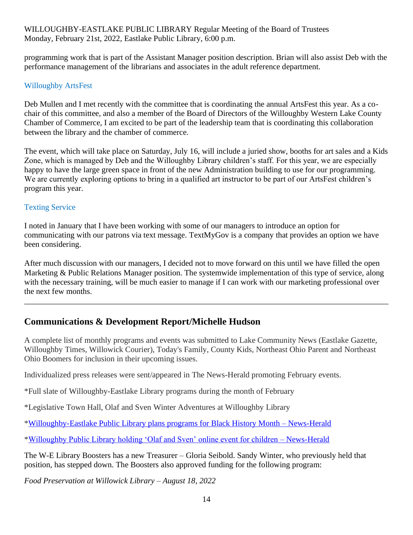programming work that is part of the Assistant Manager position description. Brian will also assist Deb with the performance management of the librarians and associates in the adult reference department.

### Willoughby ArtsFest

Deb Mullen and I met recently with the committee that is coordinating the annual ArtsFest this year. As a cochair of this committee, and also a member of the Board of Directors of the Willoughby Western Lake County Chamber of Commerce, I am excited to be part of the leadership team that is coordinating this collaboration between the library and the chamber of commerce.

The event, which will take place on Saturday, July 16, will include a juried show, booths for art sales and a Kids Zone, which is managed by Deb and the Willoughby Library children's staff. For this year, we are especially happy to have the large green space in front of the new Administration building to use for our programming. We are currently exploring options to bring in a qualified art instructor to be part of our ArtsFest children's program this year.

#### Texting Service

I noted in January that I have been working with some of our managers to introduce an option for communicating with our patrons via text message. TextMyGov is a company that provides an option we have been considering.

After much discussion with our managers, I decided not to move forward on this until we have filled the open Marketing & Public Relations Manager position. The systemwide implementation of this type of service, along with the necessary training, will be much easier to manage if I can work with our marketing professional over the next few months.

## **Communications & Development Report/Michelle Hudson**

A complete list of monthly programs and events was submitted to Lake Community News (Eastlake Gazette, Willoughby Times, Willowick Courier), Today's Family, County Kids, Northeast Ohio Parent and Northeast Ohio Boomers for inclusion in their upcoming issues.

Individualized press releases were sent/appeared in The News-Herald promoting February events.

\*Full slate of Willoughby-Eastlake Library programs during the month of February

\*Legislative Town Hall, Olaf and Sven Winter Adventures at Willoughby Library

[\\*Willoughby-Eastlake Public Library plans programs for Black History Month –](https://www.news-herald.com/2022/02/01/willoughby-eastlake-public-library-plans-programs-for-black-history-month/) News-Herald

[\\*Willoughby Public Library holding 'Olaf and Sven' online event for children –](https://www.news-herald.com/2022/02/09/willoughby-public-library-holding-olaf-and-sven-online-event-for-children/) News-Herald

The W-E Library Boosters has a new Treasurer – Gloria Seibold. Sandy Winter, who previously held that position, has stepped down. The Boosters also approved funding for the following program:

*Food Preservation at Willowick Library – August 18, 2022*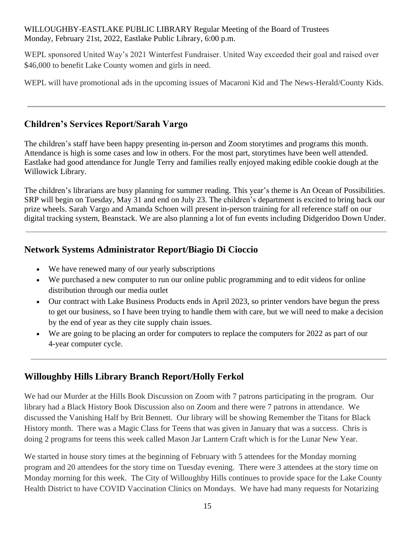WEPL sponsored United Way's 2021 Winterfest Fundraiser. United Way exceeded their goal and raised over \$46,000 to benefit Lake County women and girls in need.

WEPL will have promotional ads in the upcoming issues of Macaroni Kid and The News-Herald/County Kids.

# **Children's Services Report/Sarah Vargo**

The children's staff have been happy presenting in-person and Zoom storytimes and programs this month. Attendance is high is some cases and low in others. For the most part, storytimes have been well attended. Eastlake had good attendance for Jungle Terry and families really enjoyed making edible cookie dough at the Willowick Library.

The children's librarians are busy planning for summer reading. This year's theme is An Ocean of Possibilities. SRP will begin on Tuesday, May 31 and end on July 23. The children's department is excited to bring back our prize wheels. Sarah Vargo and Amanda Schoen will present in-person training for all reference staff on our digital tracking system, Beanstack. We are also planning a lot of fun events including Didgeridoo Down Under.

## **Network Systems Administrator Report/Biagio Di Cioccio**

- We have renewed many of our yearly subscriptions
- We purchased a new computer to run our online public programming and to edit videos for online distribution through our media outlet
- Our contract with Lake Business Products ends in April 2023, so printer vendors have begun the press to get our business, so I have been trying to handle them with care, but we will need to make a decision by the end of year as they cite supply chain issues.
- We are going to be placing an order for computers to replace the computers for 2022 as part of our 4-year computer cycle.

# **Willoughby Hills Library Branch Report/Holly Ferkol**

We had our Murder at the Hills Book Discussion on Zoom with 7 patrons participating in the program. Our library had a Black History Book Discussion also on Zoom and there were 7 patrons in attendance. We discussed the Vanishing Half by Brit Bennett. Our library will be showing Remember the Titans for Black History month. There was a Magic Class for Teens that was given in January that was a success. Chris is doing 2 programs for teens this week called Mason Jar Lantern Craft which is for the Lunar New Year.

We started in house story times at the beginning of February with 5 attendees for the Monday morning program and 20 attendees for the story time on Tuesday evening. There were 3 attendees at the story time on Monday morning for this week. The City of Willoughby Hills continues to provide space for the Lake County Health District to have COVID Vaccination Clinics on Mondays. We have had many requests for Notarizing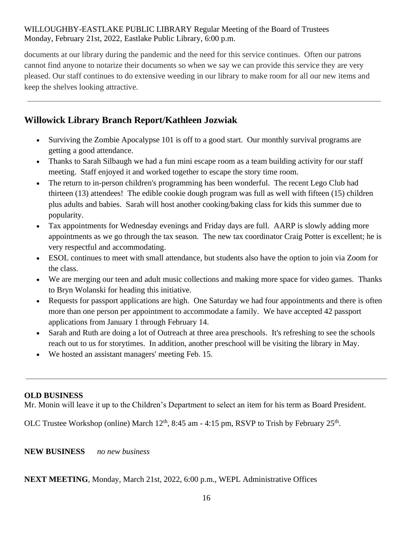documents at our library during the pandemic and the need for this service continues. Often our patrons cannot find anyone to notarize their documents so when we say we can provide this service they are very pleased. Our staff continues to do extensive weeding in our library to make room for all our new items and keep the shelves looking attractive.

# **Willowick Library Branch Report/Kathleen Jozwiak**

- Surviving the Zombie Apocalypse 101 is off to a good start. Our monthly survival programs are getting a good attendance.
- Thanks to Sarah Silbaugh we had a fun mini escape room as a team building activity for our staff meeting. Staff enjoyed it and worked together to escape the story time room.
- The return to in-person children's programming has been wonderful. The recent Lego Club had thirteen (13) attendees! The edible cookie dough program was full as well with fifteen (15) children plus adults and babies. Sarah will host another cooking/baking class for kids this summer due to popularity.
- Tax appointments for Wednesday evenings and Friday days are full. AARP is slowly adding more appointments as we go through the tax season. The new tax coordinator Craig Potter is excellent; he is very respectful and accommodating.
- ESOL continues to meet with small attendance, but students also have the option to join via Zoom for the class.
- We are merging our teen and adult music collections and making more space for video games. Thanks to Bryn Wolanski for heading this initiative.
- Requests for passport applications are high. One Saturday we had four appointments and there is often more than one person per appointment to accommodate a family. We have accepted 42 passport applications from January 1 through February 14.
- Sarah and Ruth are doing a lot of Outreach at three area preschools. It's refreshing to see the schools reach out to us for storytimes. In addition, another preschool will be visiting the library in May.
- We hosted an assistant managers' meeting Feb. 15.

#### **OLD BUSINESS**

Mr. Monin will leave it up to the Children's Department to select an item for his term as Board President.

OLC Trustee Workshop (online) March  $12<sup>th</sup>$ , 8:45 am - 4:15 pm, RSVP to Trish by February  $25<sup>th</sup>$ .

**NEW BUSINESS** *no new business*

**NEXT MEETING**, Monday, March 21st, 2022, 6:00 p.m., WEPL Administrative Offices